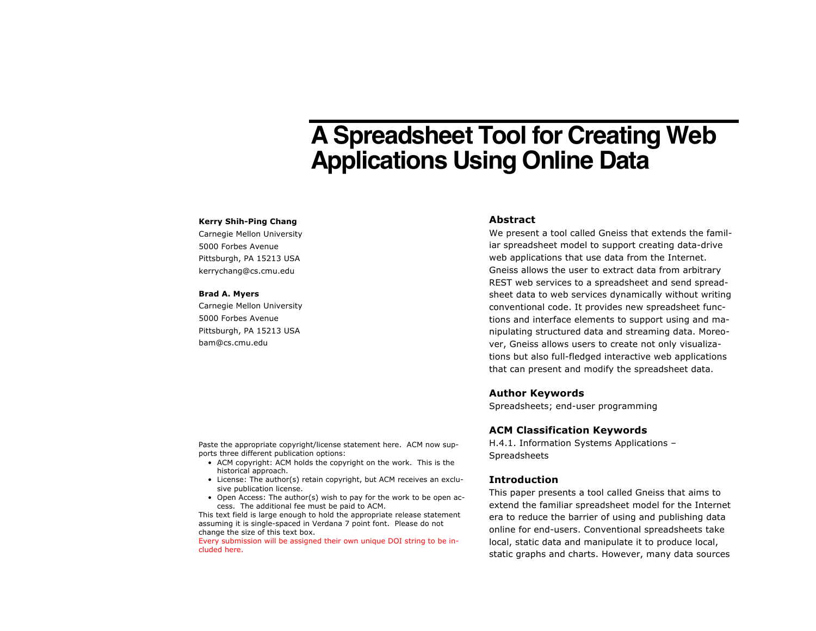# **A Spreadsheet Tool for Creating Web Applications Using Online Data**

#### **Kerry Shih-Ping Chang**

Carnegie Mellon University 5000 Forbes Avenue Pittsburgh, PA 15213 USA kerrychang@cs.cmu.edu

#### **Brad A. Myers**

Carnegie Mellon University 5000 Forbes Avenue Pittsburgh, PA 15213 USA bam@cs.cmu.edu

## **Abstract**

We present a tool called Gneiss that extends the familiar spreadsheet model to support creating data-drive web applications that use data from the Internet. Gneiss allows the user to extract data from arbitrary REST web services to a spreadsheet and send spreadsheet data to web services dynamically without writing conventional code. It provides new spreadsheet functions and interface elements to support using and manipulating structured data and streaming data. Moreover, Gneiss allows users to create not only visualizations but also full-fledged interactive web applications that can present and modify the spreadsheet data.

## **Author Keywords**

Spreadsheets; end-user programming

# **ACM Classification Keywords**

H.4.1. Information Systems Applications – Spreadsheets

## **Introduction**

This paper presents a tool called Gneiss that aims to extend the familiar spreadsheet model for the Internet era to reduce the barrier of using and publishing data online for end-users. Conventional spreadsheets take local, static data and manipulate it to produce local, static graphs and charts. However, many data sources

Paste the appropriate copyright/license statement here. ACM now supports three different publication options:

- ACM copyright: ACM holds the copyright on the work. This is the historical approach.
- License: The author(s) retain copyright, but ACM receives an exclusive publication license.
- Open Access: The author(s) wish to pay for the work to be open access. The additional fee must be paid to ACM.

This text field is large enough to hold the appropriate release statement assuming it is single-spaced in Verdana 7 point font. Please do not change the size of this text box.

Every submission will be assigned their own unique DOI string to be included here.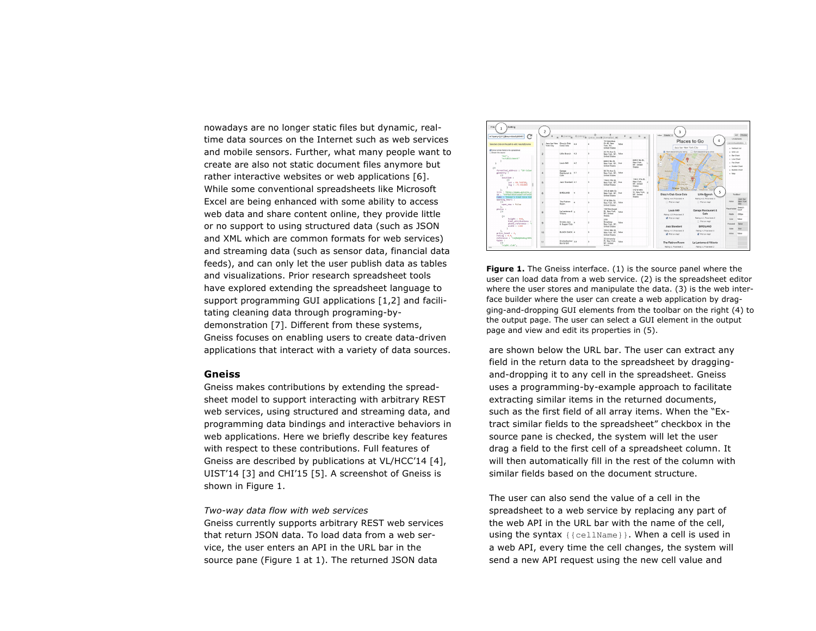nowadays are no longer static files but dynamic, realtime data sources on the Internet such as web services and mobile sensors. Further, what many people want to create are also not static document files anymore but rather interactive websites or web applications [6]. While some conventional spreadsheets like Microsoft Excel are being enhanced with some ability to access web data and share content online, they provide little or no support to using structured data (such as JSON and XML which are common formats for web services) and streaming data (such as sensor data, financial data feeds), and can only let the user publish data as tables and visualizations. Prior research spreadsheet tools have explored extending the spreadsheet language to support programming GUI applications [1,2] and facilitating cleaning data through programing-bydemonstration [7]. Different from these systems, Gneiss focuses on enabling users to create data-driven applications that interact with a variety of data sources.

#### **Gneiss**

Gneiss makes contributions by extending the spreadsheet model to support interacting with arbitrary REST web services, using structured and streaming data, and programming data bindings and interactive behaviors in web applications. Here we briefly describe key features with respect to these contributions. Full features of Gneiss are described by publications at VL/HCC'14 [4], UIST'14 [3] and CHI'15 [5]. A screenshot of Gneiss is shown in Figure 1.

*Two-way data flow with web services* Gneiss currently supports arbitrary REST web services

that return JSON data. To load data from a web service, the user enters an API in the URL bar in the source pane (Figure 1 at 1). The returned JSON data



**Figure 1.** The Gneiss interface. (1) is the source panel where the user can load data from a web service. (2) is the spreadsheet editor where the user stores and manipulate the data. (3) is the web interface builder where the user can create a web application by dragging-and-dropping GUI elements from the toolbar on the right (4) to the output page. The user can select a GUI element in the output page and view and edit its properties in (5).

are shown below the URL bar. The user can extract any field in the return data to the spreadsheet by draggingand-dropping it to any cell in the spreadsheet. Gneiss uses a programming-by-example approach to facilitate extracting similar items in the returned documents, such as the first field of all array items. When the "Extract similar fields to the spreadsheet" checkbox in the source pane is checked, the system will let the user drag a field to the first cell of a spreadsheet column. It will then automatically fill in the rest of the column with similar fields based on the document structure.

The user can also send the value of a cell in the spreadsheet to a web service by replacing any part of the web API in the URL bar with the name of the cell, using the syntax {{cellName}}. When a cell is used in a web API, every time the cell changes, the system will send a new API request using the new cell value and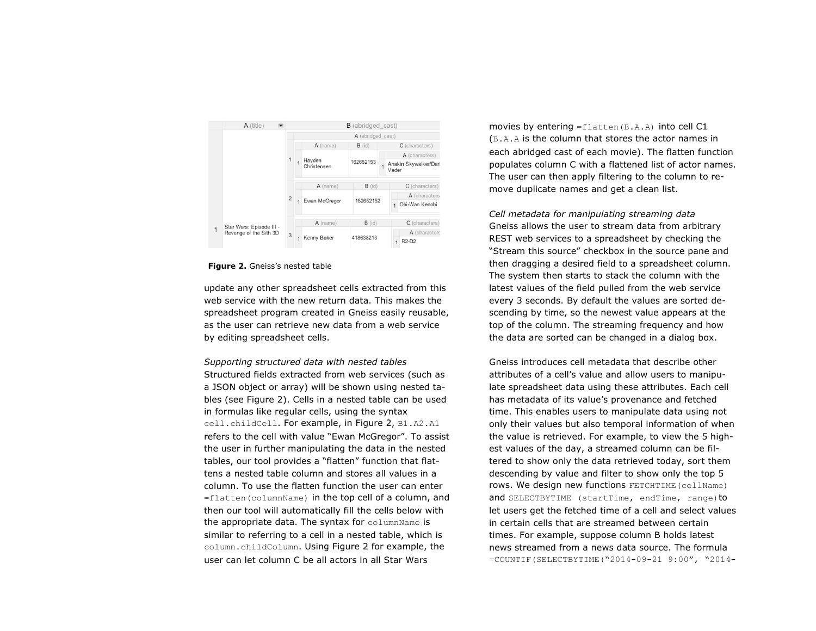

**Figure 2.** Gneiss's nested table

update any other spreadsheet cells extracted from this web service with the new return data. This makes the spreadsheet program created in Gneiss easily reusable, as the user can retrieve new data from a web service by editing spreadsheet cells.

*Supporting structured data with nested tables* Structured fields extracted from web services (such as a JSON object or array) will be shown using nested tables (see Figure 2). Cells in a nested table can be used in formulas like regular cells, using the syntax cell.childCell. For example, in Figure 2, B1.A2.A1 refers to the cell with value "Ewan McGregor". To assist the user in further manipulating the data in the nested tables, our tool provides a "flatten" function that flattens a nested table column and stores all values in a column. To use the flatten function the user can enter  $=$  flatten (columnName) in the top cell of a column, and then our tool will automatically fill the cells below with the appropriate data. The syntax for columnName is similar to referring to a cell in a nested table, which is column.childColumn. Using Figure 2 for example, the user can let column C be all actors in all Star Wars

movies by entering  $=f$ latten (B.A.A) into cell C1 (B.A.A is the column that stores the actor names in each abridged cast of each movie). The flatten function populates column C with a flattened list of actor names. The user can then apply filtering to the column to remove duplicate names and get a clean list.

*Cell metadata for manipulating streaming data* Gneiss allows the user to stream data from arbitrary REST web services to a spreadsheet by checking the "Stream this source" checkbox in the source pane and then dragging a desired field to a spreadsheet column. The system then starts to stack the column with the latest values of the field pulled from the web service every 3 seconds. By default the values are sorted descending by time, so the newest value appears at the top of the column. The streaming frequency and how the data are sorted can be changed in a dialog box.

Gneiss introduces cell metadata that describe other attributes of a cell's value and allow users to manipulate spreadsheet data using these attributes. Each cell has metadata of its value's provenance and fetched time. This enables users to manipulate data using not only their values but also temporal information of when the value is retrieved. For example, to view the 5 highest values of the day, a streamed column can be filtered to show only the data retrieved today, sort them descending by value and filter to show only the top 5 rows. We design new functions FETCHTIME(cellName) and SELECTBYTIME (startTime, endTime, range) to let users get the fetched time of a cell and select values in certain cells that are streamed between certain times. For example, suppose column B holds latest news streamed from a news data source. The formula =COUNTIF(SELECTBYTIME("2014-09-21 9:00", "2014